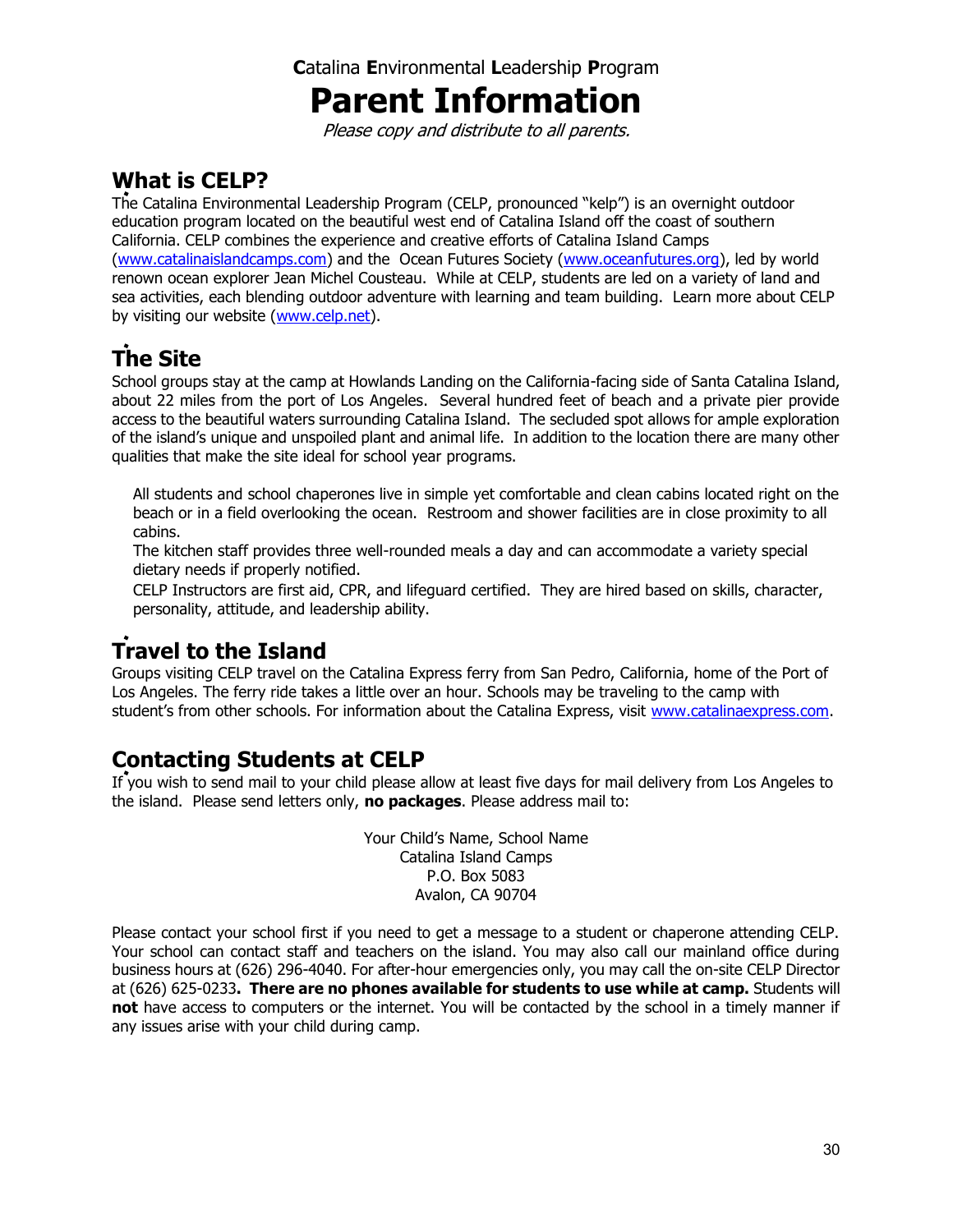## **C**atalina **E**nvironmental **L**eadership **P**rogram

# **Parent Information**

Please copy and distribute to all parents.

## **What is CELP?**

The Catalina Environmental Leadership Program (CELP, pronounced "kelp") is an overnight outdoor education program located on the beautiful west end of Catalina Island off the coast of southern California. CELP combines the experience and creative efforts of Catalina Island Camps [\(www.catalinaislandcamps.com\)](http://www.catalinaislandcamps.com/) and the Ocean Futures Society [\(www.oceanfutures.org\)](http://www.oceanfutures.org/), led by world renown ocean explorer Jean Michel Cousteau. While at CELP, students are led on a variety of land and sea activities, each blending outdoor adventure with learning and team building. Learn more about CELP by visiting our website [\(www.celp.net\)](http://www.celp.net/).

# **The Site**

School groups stay at the camp at Howlands Landing on the California-facing side of Santa Catalina Island, about 22 miles from the port of Los Angeles. Several hundred feet of beach and a private pier provide access to the beautiful waters surrounding Catalina Island. The secluded spot allows for ample exploration of the island's unique and unspoiled plant and animal life. In addition to the location there are many other qualities that make the site ideal for school year programs.

All students and school chaperones live in simple yet comfortable and clean cabins located right on the beach or in a field overlooking the ocean. Restroom and shower facilities are in close proximity to all cabins.

The kitchen staff provides three well-rounded meals a day and can accommodate a variety special dietary needs if properly notified.

CELP Instructors are first aid, CPR, and lifeguard certified. They are hired based on skills, character, personality, attitude, and leadership ability.

# **Travel to the Island**

Groups visiting CELP travel on the Catalina Express ferry from San Pedro, California, home of the Port of Los Angeles. The ferry ride takes a little over an hour. Schools may be traveling to the camp with student's from other schools. For information about the Catalina Express, visit [www.catalinaexpress.com.](http://www.catalinaexpress.com/)

## **Contacting Students at CELP**

If you wish to send mail to your child please allow at least five days for mail delivery from Los Angeles to the island. Please send letters only, **no packages**. Please address mail to:

> Your Child's Name, School Name Catalina Island Camps P.O. Box 5083 Avalon, CA 90704

Please contact your school first if you need to get a message to a student or chaperone attending CELP. Your school can contact staff and teachers on the island. You may also call our mainland office during business hours at (626) 296-4040. For after-hour emergencies only, you may call the on-site CELP Director at (626) 625-0233**. There are no phones available for students to use while at camp.** Students will **not** have access to computers or the internet. You will be contacted by the school in a timely manner if any issues arise with your child during camp.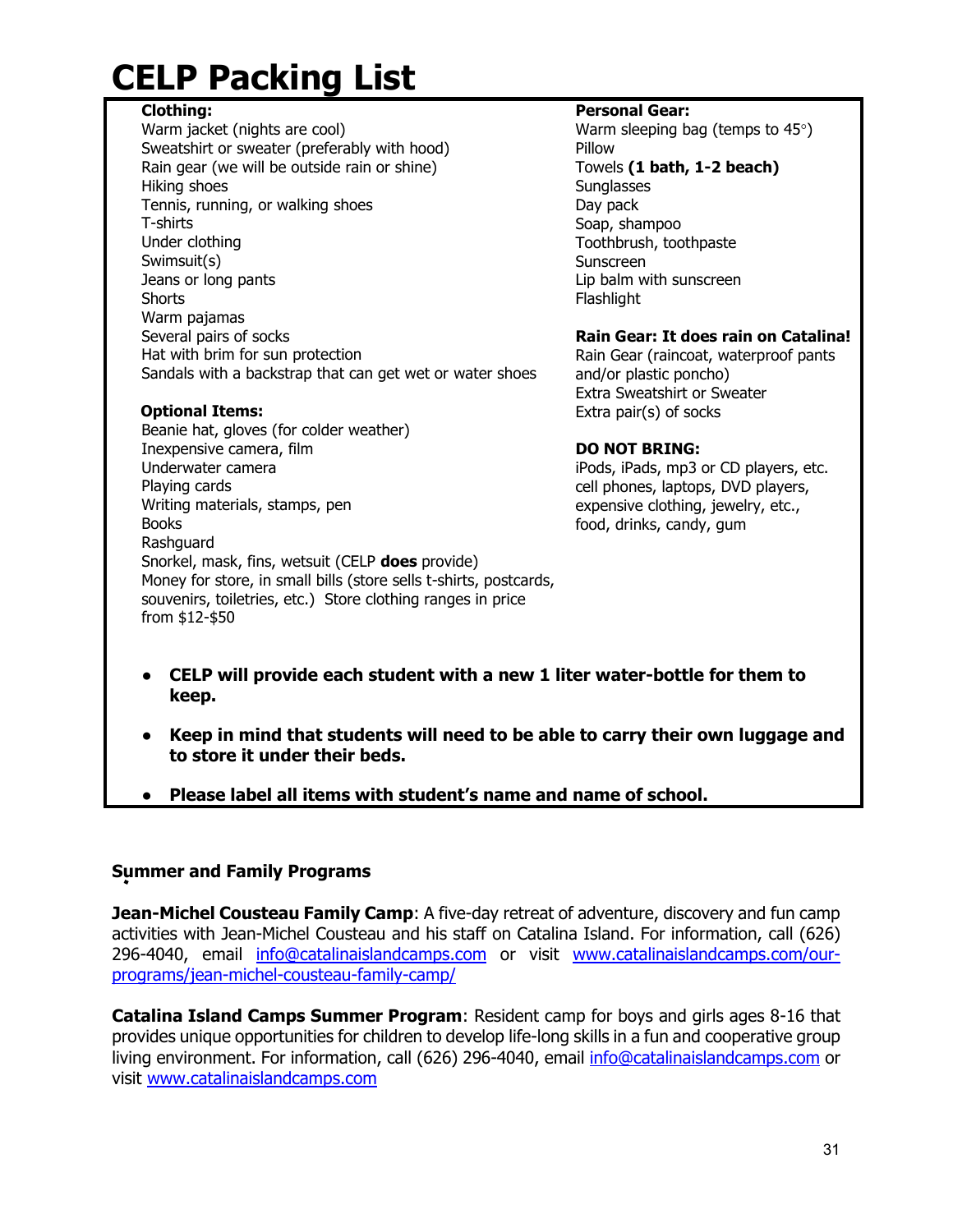# **CELP Packing List**

#### **Clothing:**

Warm jacket (nights are cool) Sweatshirt or sweater (preferably with hood) Rain gear (we will be outside rain or shine) Hiking shoes Tennis, running, or walking shoes T-shirts Under clothing Swimsuit(s) Jeans or long pants Shorts Warm pajamas Several pairs of socks Hat with brim for sun protection Sandals with a backstrap that can get wet or water shoes

#### **Optional Items:**

Beanie hat, gloves (for colder weather) Inexpensive camera, film Underwater camera Playing cards Writing materials, stamps, pen Books Rashquard Snorkel, mask, fins, wetsuit (CELP **does** provide) Money for store, in small bills (store sells t-shirts, postcards, souvenirs, toiletries, etc.) Store clothing ranges in price from \$12-\$50

#### **Personal Gear:**

Warm sleeping bag (temps to  $45^{\circ}$ ) Pillow Towels **(1 bath, 1-2 beach) Sunglasses** Day pack Soap, shampoo Toothbrush, toothpaste Sunscreen Lip balm with sunscreen Flashlight

#### **Rain Gear: It does rain on Catalina!**

Rain Gear (raincoat, waterproof pants and/or plastic poncho) Extra Sweatshirt or Sweater Extra pair(s) of socks

#### **DO NOT BRING:**

iPods, iPads, mp3 or CD players, etc. cell phones, laptops, DVD players, expensive clothing, jewelry, etc., food, drinks, candy, gum

- **CELP will provide each student with a new 1 liter water-bottle for them to keep.**
- **Keep in mind that students will need to be able to carry their own luggage and to store it under their beds.**
- **•** Please label all items with student's name and name of school.

#### **Summer and Family Programs**

**Jean-Michel Cousteau Family Camp**: A five-day retreat of adventure, discovery and fun camp activities with Jean-Michel Cousteau and his staff on Catalina Island. For information, call (626) 296-4040, email [info@catalinaislandcamps.com](mailto:info@catalinaislandcamps.com) or visit [www.catalinaislandcamps.com/our](http://www.catalinaislandcamps.com/our-programs/jean-michel-cousteau-family-camp/)[programs/jean-michel-cousteau-family-camp/](http://www.catalinaislandcamps.com/our-programs/jean-michel-cousteau-family-camp/)

**Catalina Island Camps Summer Program**: Resident camp for boys and girls ages 8-16 that provides unique opportunities for children to develop life-long skills in a fun and cooperative group living environment. For information, call (626) 296-4040, email [info@catalinaislandcamps.com](mailto:info@catalinaislandcamps.com) or visit [www.catalinaislandcamps.com](http://www.catalinaislandcamps.com/our-programs/jean-michel-cousteau-family-camp/)